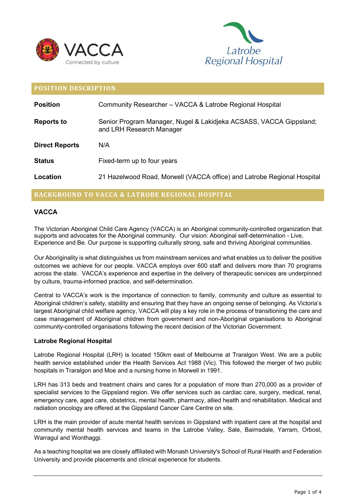



| <b>POSITION DESCRIPTION</b> |                                                                                                |
|-----------------------------|------------------------------------------------------------------------------------------------|
| <b>Position</b>             | Community Researcher - VACCA & Latrobe Regional Hospital                                       |
| <b>Reports to</b>           | Senior Program Manager, Nugel & Lakidjeka ACSASS, VACCA Gippsland;<br>and LRH Research Manager |
| <b>Direct Reports</b>       | N/A                                                                                            |
| <b>Status</b>               | Fixed-term up to four years                                                                    |
| Location                    | 21 Hazelwood Road, Morwell (VACCA office) and Latrobe Regional Hospital                        |

# **BACKGROUND TO VACCA & LATROBE REGIONAL HOSPITAL**

# **VACCA**

The Victorian Aboriginal Child Care Agency (VACCA) is an Aboriginal community-controlled organization that supports and advocates for the Aboriginal community. Our vision: Aboriginal self-determination - Live, Experience and Be. Our purpose is supporting culturally strong, safe and thriving Aboriginal communities.

Our Aboriginality is what distinguishes us from mainstream services and what enables us to deliver the positive outcomes we achieve for our people. VACCA employs over 600 staff and delivers more than 70 programs across the state. VACCA's experience and expertise in the delivery of therapeutic services are underpinned by culture, trauma-informed practice, and self-determination.

Central to VACCA's work is the importance of connection to family, community and culture as essential to Aboriginal children's safety, stability and ensuring that they have an ongoing sense of belonging. As Victoria's largest Aboriginal child welfare agency, VACCA will play a key role in the process of transitioning the care and case management of Aboriginal children from government and non-Aboriginal organisations to Aboriginal community-controlled organisations following the recent decision of the Victorian Government.

#### **Latrobe Regional Hospital**

Latrobe Regional Hospital (LRH) is located 150km east of Melbourne at Traralgon West. We are a public health service established under the Health Services Act 1988 (Vic). This followed the merger of two public hospitals in Traralgon and Moe and a nursing home in Morwell in 1991.

LRH has 313 beds and treatment chairs and cares for a population of more than 270,000 as a provider of specialist services to the Gippsland region. We offer services such as cardiac care, surgery, medical, renal, emergency care, aged care, obstetrics, mental health, pharmacy, allied health and rehabilitation. Medical and radiation oncology are offered at the Gippsland Cancer Care Centre on site.

LRH is the main provider of acute mental health services in Gippsland with inpatient care at the hospital and community mental health services and teams in the Latrobe Valley, Sale, Bairnsdale, Yarram, Orbost, Warragul and Wonthaggi.

As a teaching hospital we are closely affiliated with Monash University's School of Rural Health and Federation University and provide placements and clinical experience for students.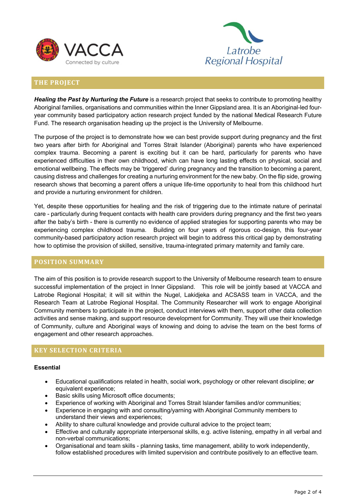



# **THE PROJECT**

*Healing the Past by Nurturing the Future* is a research project that seeks to contribute to promoting healthy Aboriginal families, organisations and communities within the Inner Gippsland area. It is an Aboriginal-led fouryear community based participatory action research project funded by the national Medical Research Future Fund. The research organisation heading up the project is the University of Melbourne.

The purpose of the project is to demonstrate how we can best provide support during pregnancy and the first two years after birth for Aboriginal and Torres Strait Islander (Aboriginal) parents who have experienced complex trauma. Becoming a parent is exciting but it can be hard, particularly for parents who have experienced difficulties in their own childhood, which can have long lasting effects on physical, social and emotional wellbeing. The effects may be 'triggered' during pregnancy and the transition to becoming a parent, causing distress and challenges for creating a nurturing environment for the new baby. On the flip side, growing research shows that becoming a parent offers a unique life-time opportunity to heal from this childhood hurt and provide a nurturing environment for children.

Yet, despite these opportunities for healing and the risk of triggering due to the intimate nature of perinatal care - particularly during frequent contacts with health care providers during pregnancy and the first two years after the baby's birth - there is currently no evidence of applied strategies for supporting parents who may be experiencing complex childhood trauma. Building on four years of rigorous co-design, this four-year community-based participatory action research project will begin to address this critical gap by demonstrating how to optimise the provision of skilled, sensitive, trauma-integrated primary maternity and family care.

#### **POSITION SUMMARY**

The aim of this position is to provide research support to the University of Melbourne research team to ensure successful implementation of the project in Inner Gippsland. This role will be jointly based at VACCA and Latrobe Regional Hospital; it will sit within the Nugel, Lakidjeka and ACSASS team in VACCA, and the Research Team at Latrobe Regional Hospital. The Community Researcher will work to engage Aboriginal Community members to participate in the project, conduct interviews with them, support other data collection activities and sense making, and support resource development for Community. They will use their knowledge of Community, culture and Aboriginal ways of knowing and doing to advise the team on the best forms of engagement and other research approaches.

# **KEY SELECTION CRITERIA**

#### **Essential**

- Educational qualifications related in health, social work, psychology or other relevant discipline; *or* equivalent experience;
- Basic skills using Microsoft office documents;
- Experience of working with Aboriginal and Torres Strait Islander families and/or communities;
- Experience in engaging with and consulting/yarning with Aboriginal Community members to understand their views and experiences;
- Ability to share cultural knowledge and provide cultural advice to the project team;
- Effective and culturally appropriate interpersonal skills, e.g. active listening, empathy in all verbal and non-verbal communications;
- Organisational and team skills planning tasks, time management, ability to work independently, follow established procedures with limited supervision and contribute positively to an effective team.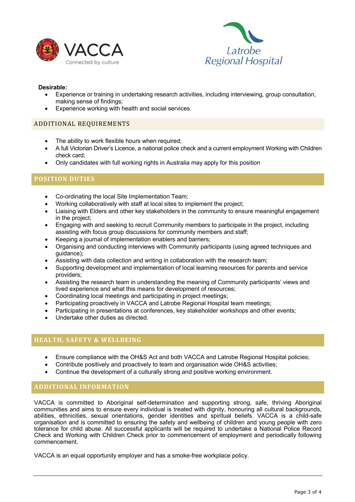



#### **Desirable:**

- Experience or training in undertaking research activities, including interviewing, group consultation, making sense of findings;
- Experience working with health and social services.

### ADDITIONAL REQUIREMENTS

- The ability to work flexible hours when required:
- A full Victorian Driver's Licence, a national police check and a current employment Working with Children check card;
- Only candidates with full working rights in Australia may apply for this position

# **POSITION DUTIES**

- Co-ordinating the local Site Implementation Team;
- Working collaboratively with staff at local sites to implement the project;
- Liaising with Elders and other key stakeholders in the community to ensure meaningful engagement in the project;
- Engaging with and seeking to recruit Community members to participate in the project, including assisting with focus group discussions for community members and staff;
- Keeping a journal of implementation enablers and barriers;
- Organising and conducting interviews with Community participants (using agreed techniques and guidance);
- Assisting with data collection and writing in collaboration with the research team;
- Supporting development and implementation of local learning resources for parents and service providers;
- Assisting the research team in understanding the meaning of Community participants' views and lived experience and what this means for development of resources;
- Coordinating local meetings and participating in project meetings;
- Participating proactively in VACCA and Latrobe Regional Hospital team meetings;
- Participating in presentations at conferences, key stakeholder workshops and other events;
- Undertake other duties as directed.

# **HEALTH, SAFETY & WELLBEING**

- Ensure compliance with the OH&S Act and both VACCA and Latrobe Regional Hospital policies;
- Contribute positively and proactively to team and organisation wide OH&S activities;
- Continue the development of a culturally strong and positive working environment.

# **ADDITIONAL INFORMATION**

VACCA is committed to Aboriginal self-determination and supporting strong, safe, thriving Aboriginal communities and aims to ensure every individual is treated with dignity, honouring all cultural backgrounds, abilities, ethnicities, sexual orientations, gender identities and spiritual beliefs. VACCA is a child-safe organisation and is committed to ensuring the safety and wellbeing of children and young people with zero tolerance for child abuse. All successful applicants will be required to undertake a National Police Record Check and Working with Children Check prior to commencement of employment and periodically following commencement.

VACCA is an equal opportunity employer and has a smoke-free workplace policy.